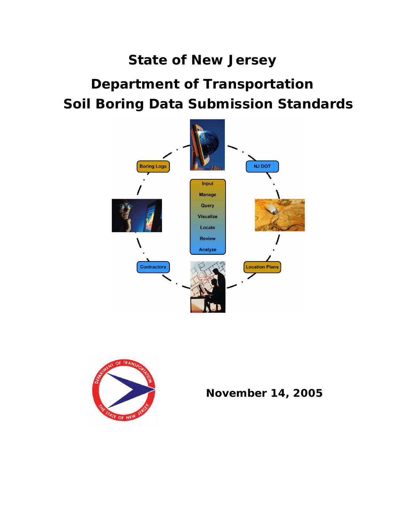# **State of New Jersey Department of Transportation Soil Boring Data Submission Standards**





**November 14, 2005**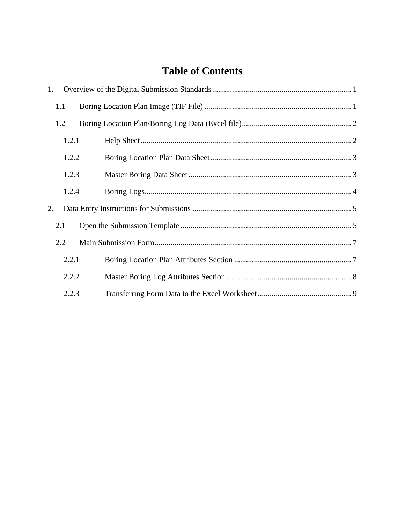# **Table of Contents**

| 1. |       |  |
|----|-------|--|
|    | 1.1   |  |
|    | 1.2   |  |
|    | 1.2.1 |  |
|    | 1.2.2 |  |
|    | 1.2.3 |  |
|    | 1.2.4 |  |
| 2. |       |  |
|    | 2.1   |  |
|    | 2.2   |  |
|    | 2.2.1 |  |
|    | 2.2.2 |  |
|    | 2.2.3 |  |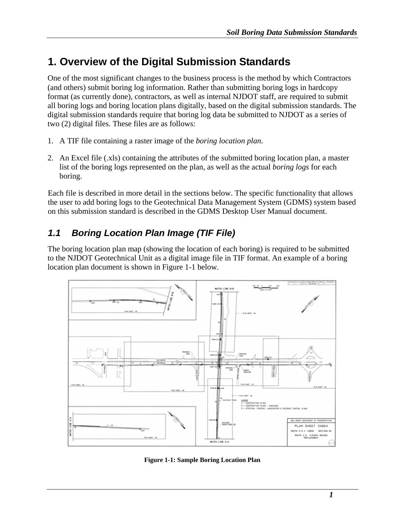# **1. Overview of the Digital Submission Standards**

One of the most significant changes to the business process is the method by which Contractors (and others) submit boring log information. Rather than submitting boring logs in hardcopy format (as currently done), contractors, as well as internal NJDOT staff, are required to submit all boring logs and boring location plans digitally, based on the digital submission standards. The digital submission standards require that boring log data be submitted to NJDOT as a series of two (2) digital files. These files are as follows:

- 1. A TIF file containing a raster image of the *boring location plan*.
- 2. An Excel file (.xls) containing the attributes of the submitted boring location plan, a master list of the boring logs represented on the plan, as well as the actual *boring logs* for each boring.

Each file is described in more detail in the sections below. The specific functionality that allows the user to add boring logs to the Geotechnical Data Management System (GDMS) system based on this submission standard is described in the GDMS Desktop User Manual document.

## *1.1 Boring Location Plan Image (TIF File)*

The boring location plan map (showing the location of each boring) is required to be submitted to the NJDOT Geotechnical Unit as a digital image file in TIF format. An example of a boring location plan document is shown in Figure 1-1 below.



**Figure 1-1: Sample Boring Location Plan**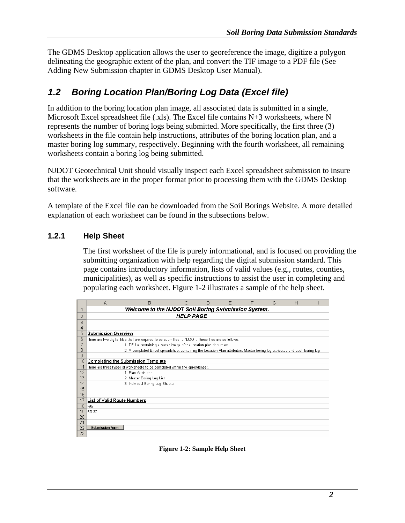The GDMS Desktop application allows the user to georeference the image, digitize a polygon delineating the geographic extent of the plan, and convert the TIF image to a PDF file (See Adding New Submission chapter in GDMS Desktop User Manual).

### *1.2 Boring Location Plan/Boring Log Data (Excel file)*

In addition to the boring location plan image, all associated data is submitted in a single, Microsoft Excel spreadsheet file (.xls). The Excel file contains N+3 worksheets, where N represents the number of boring logs being submitted. More specifically, the first three (3) worksheets in the file contain help instructions, attributes of the boring location plan, and a master boring log summary, respectively. Beginning with the fourth worksheet, all remaining worksheets contain a boring log being submitted.

NJDOT Geotechnical Unit should visually inspect each Excel spreadsheet submission to insure that the worksheets are in the proper format prior to processing them with the GDMS Desktop software.

A template of the Excel file can be downloaded from the Soil Borings Website. A more detailed explanation of each worksheet can be found in the subsections below.

#### **1.2.1 Help Sheet**

The first worksheet of the file is purely informational, and is focused on providing the submitting organization with help regarding the digital submission standard. This page contains introductory information, lists of valid values (e.g., routes, counties, municipalities), as well as specific instructions to assist the user in completing and populating each worksheet. Figure 1-2 illustrates a sample of the help sheet.

|                | A                           | B                                                                                                                          | C                | $\Box$ | E | F | G | H |  |
|----------------|-----------------------------|----------------------------------------------------------------------------------------------------------------------------|------------------|--------|---|---|---|---|--|
|                |                             | Welcome to the NJDOT Soil Boring Submission System.                                                                        |                  |        |   |   |   |   |  |
| 2              |                             |                                                                                                                            | <b>HELP PAGE</b> |        |   |   |   |   |  |
| 3              |                             |                                                                                                                            |                  |        |   |   |   |   |  |
| 4              |                             |                                                                                                                            |                  |        |   |   |   |   |  |
| 5              | <b>Submission Overview</b>  |                                                                                                                            |                  |        |   |   |   |   |  |
| 6              |                             | There are two digital files that are required to be submitted to NJDOT. These files are as follows:                        |                  |        |   |   |   |   |  |
| 7              |                             | 1. TIF file containing a raster image of the location plan document                                                        |                  |        |   |   |   |   |  |
| 8              |                             | 2. A completed Excel spreadsheet containing the Location Plan attributes, Master boring log attributes and each boring log |                  |        |   |   |   |   |  |
| $\overline{9}$ |                             |                                                                                                                            |                  |        |   |   |   |   |  |
| 10             |                             | <b>Completing the Submission Template</b>                                                                                  |                  |        |   |   |   |   |  |
| 11             |                             | There are three types of worksheets to be completed within the spreadsheet.                                                |                  |        |   |   |   |   |  |
| 12             |                             | 1. Plan Attributes                                                                                                         |                  |        |   |   |   |   |  |
| 13             |                             | 2. Master Boring Log List                                                                                                  |                  |        |   |   |   |   |  |
| 14             |                             | 3. Individual Boring Log Sheets                                                                                            |                  |        |   |   |   |   |  |
| 15             |                             |                                                                                                                            |                  |        |   |   |   |   |  |
| 16             |                             |                                                                                                                            |                  |        |   |   |   |   |  |
| 17             | List of Valid Route Numbers |                                                                                                                            |                  |        |   |   |   |   |  |
| 18             | 1-95                        |                                                                                                                            |                  |        |   |   |   |   |  |
| 19             | SR 32                       |                                                                                                                            |                  |        |   |   |   |   |  |
| 20             |                             |                                                                                                                            |                  |        |   |   |   |   |  |
| 21             |                             |                                                                                                                            |                  |        |   |   |   |   |  |
| 22             | <b>Submission Form</b>      |                                                                                                                            |                  |        |   |   |   |   |  |
| 23             |                             |                                                                                                                            |                  |        |   |   |   |   |  |

**Figure 1-2: Sample Help Sheet**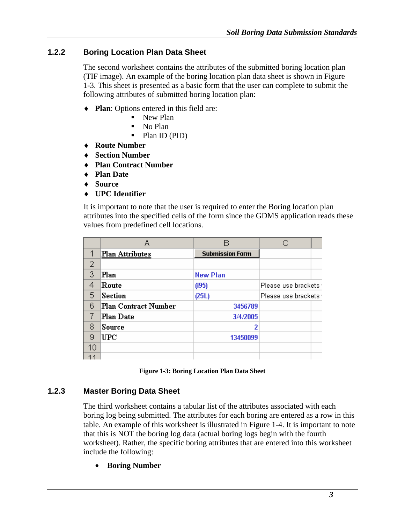#### **1.2.2 Boring Location Plan Data Sheet**

The second worksheet contains the attributes of the submitted boring location plan (TIF image). An example of the boring location plan data sheet is shown in Figure 1-3. This sheet is presented as a basic form that the user can complete to submit the following attributes of submitted boring location plan:

- ♦ **Plan**: Options entered in this field are:
	- New Plan
	- No Plan
	- Plan ID (PID)
- ♦ **Route Number**
- ♦ **Section Number**
- ♦ **Plan Contract Number**
- ♦ **Plan Date**
- ♦ **Source**
- ♦ **UPC Identifier**

It is important to note that the user is required to enter the Boring location plan attributes into the specified cells of the form since the GDMS application reads these values from predefined cell locations.

|                | Α                           |                        |                      |  |
|----------------|-----------------------------|------------------------|----------------------|--|
| 1              | <b>Plan Attributes</b>      | <b>Submission Form</b> |                      |  |
| $\overline{2}$ |                             |                        |                      |  |
| 3              | Plan                        | <b>New Plan</b>        |                      |  |
| 4              | Route                       | (195)                  | Please use brackets  |  |
| 5              | <b>Section</b>              | (25L)                  | Please use brackets: |  |
| 6              | <b>Plan Contract Number</b> | 3456789                |                      |  |
|                | <b>Plan Date</b>            | 3/4/2005               |                      |  |
| 8              | Source                      | 2                      |                      |  |
| 9              | ${UPC}$                     | 13450099               |                      |  |
| 10             |                             |                        |                      |  |
| 11             |                             |                        |                      |  |

| <b>Figure 1-3: Boring Location Plan Data Sheet</b> |  |  |
|----------------------------------------------------|--|--|
|----------------------------------------------------|--|--|

#### **1.2.3 Master Boring Data Sheet**

The third worksheet contains a tabular list of the attributes associated with each boring log being submitted. The attributes for each boring are entered as a row in this table. An example of this worksheet is illustrated in Figure 1-4. It is important to note that this is NOT the boring log data (actual boring logs begin with the fourth worksheet). Rather, the specific boring attributes that are entered into this worksheet include the following:

• **Boring Number**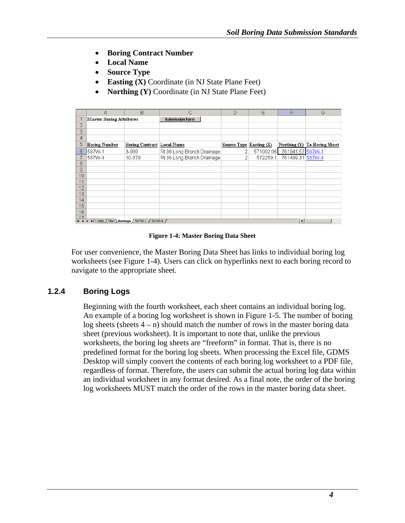- **Boring Contract Number**
- **Local Name**
- **Source Type**
- **Easting (X)** Coordinate (in NJ State Plane Feet)
- **Northing (Y)** Coordinate (in NJ State Plane Feet)

|                  | Α                               | B                                         | C                          | $\Box$                    | E         | F                | G                            |
|------------------|---------------------------------|-------------------------------------------|----------------------------|---------------------------|-----------|------------------|------------------------------|
|                  | <b>Master Boring Attributes</b> |                                           | <b>Submission Form</b>     |                           |           |                  |                              |
| $\overline{2}$   |                                 |                                           |                            |                           |           |                  |                              |
| 3                |                                 |                                           |                            |                           |           |                  |                              |
| 4                |                                 |                                           |                            |                           |           |                  |                              |
| 5                | <b>Boring Number</b>            | <b>Boring Contract Local Name</b>         |                            | Source $Type Easting(X) $ |           |                  | Northing (Y) To Boring Sheet |
| 6                | 587W-1                          | 3-989                                     | Rt 36 Long Branch Drainage | 2                         | 571902.06 | 761941.57 587W-1 |                              |
|                  | 587W-4                          | 10-878                                    | Rt 36 Long Branch Drainage | 2                         | 572259.1  | 761489.31 587W-4 |                              |
| 8                |                                 |                                           |                            |                           |           |                  |                              |
| 9                |                                 |                                           |                            |                           |           |                  |                              |
| 10               |                                 |                                           |                            |                           |           |                  |                              |
| 11               |                                 |                                           |                            |                           |           |                  |                              |
| 12               |                                 |                                           |                            |                           |           |                  |                              |
| 13               |                                 |                                           |                            |                           |           |                  |                              |
| 14               |                                 |                                           |                            |                           |           |                  |                              |
| 15               |                                 |                                           |                            |                           |           |                  |                              |
| 16               |                                 |                                           |                            |                           |           |                  |                              |
| $\frac{17}{114}$ |                                 | H Help / Plan Borings / 587W-1 / 587W-4 / |                            |                           |           | 1                |                              |
|                  |                                 |                                           |                            |                           |           |                  |                              |

#### **Figure 1-4: Master Boring Data Sheet**

For user convenience, the Master Boring Data Sheet has links to individual boring log worksheets (see Figure 1-4). Users can click on hyperlinks next to each boring record to navigate to the appropriate sheet.

#### **1.2.4 Boring Logs**

Beginning with the fourth worksheet, each sheet contains an individual boring log. An example of a boring log worksheet is shown in Figure 1-5. The number of boring log sheets (sheets  $4 - n$ ) should match the number of rows in the master boring data sheet (previous worksheet). It is important to note that, unlike the previous worksheets, the boring log sheets are "freeform" in format. That is, there is no predefined format for the boring log sheets. When processing the Excel file, GDMS Desktop will simply convert the contents of each boring log worksheet to a PDF file, regardless of format. Therefore, the users can submit the actual boring log data within an individual worksheet in any format desired. As a final note, the order of the boring log worksheets MUST match the order of the rows in the master boring data sheet.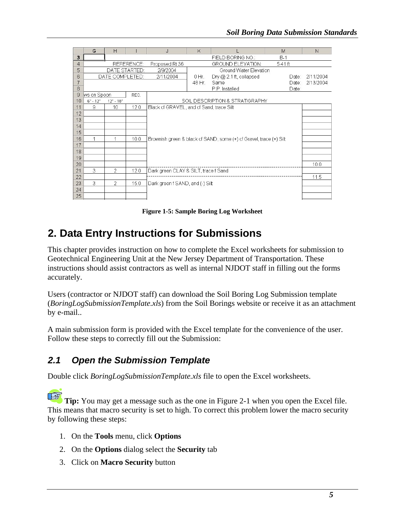|                | G           | H               |            | J                                        | K       |                                                                    | M       | N         |
|----------------|-------------|-----------------|------------|------------------------------------------|---------|--------------------------------------------------------------------|---------|-----------|
| 3              |             |                 |            |                                          |         | FIELD BORING NO.:                                                  | $B-1$   |           |
| $\overline{4}$ |             |                 | REFERENCE: | Proposed Rt 36                           |         | GROUND ELEVATION:                                                  | 5.41 ft |           |
| 5              |             | DATE STARTED:   |            | 2/9/2004                                 |         | Ground Water Elevation                                             |         |           |
| 6              |             | DATE COMPLETED: |            | 2/11/2004                                | $0$ Hr. | Dry $@2.1$ ft, collapsed                                           | Date:   | 2/11/2004 |
|                |             |                 |            |                                          | 48 Hr.  | Same                                                               | Date:   | 2/13/2004 |
| 8              |             |                 |            |                                          |         | P.P. Installed                                                     | Date:   |           |
| 9              | ws on Spoon |                 | REC.       |                                          |         |                                                                    |         |           |
| 10             | $6" - 12"$  | $12" - 18"$     |            |                                          |         | SOIL DESCRIPTION & STRATIGRAPHY                                    |         |           |
| 11             | 9           | 10              | 12.0       | Black of GRAVEL, and of Sand, trace Silt |         |                                                                    |         |           |
| 12             |             |                 |            |                                          |         |                                                                    |         |           |
| 13             |             |                 |            |                                          |         |                                                                    |         |           |
| 14             |             |                 |            |                                          |         |                                                                    |         |           |
| 15             |             |                 |            |                                          |         |                                                                    |         |           |
| 16             | 1           | 1               | 10.0       |                                          |         | Brownish green & black of SAND, some (+) of Gravel, trace (+) Silt |         |           |
| 17             |             |                 |            |                                          |         |                                                                    |         |           |
| 18             |             |                 |            |                                          |         |                                                                    |         |           |
| 19             |             |                 |            |                                          |         |                                                                    |         |           |
| 20             |             |                 |            |                                          |         |                                                                    |         | 10.0      |
| 21             | 3           | $\overline{2}$  | 12.0       | Dark green CLAY & SILT, trace f Sand     |         |                                                                    |         |           |
| 22             |             |                 |            |                                          |         |                                                                    |         | 11.5      |
| 23             | 3           | 2               | 15.0       | Dark green f SAND, and (-) Silt          |         |                                                                    |         |           |
| 24             |             |                 |            |                                          |         |                                                                    |         |           |
| 25             |             |                 |            |                                          |         |                                                                    |         |           |

**Figure 1-5: Sample Boring Log Worksheet** 

### **2. Data Entry Instructions for Submissions**

This chapter provides instruction on how to complete the Excel worksheets for submission to Geotechnical Engineering Unit at the New Jersey Department of Transportation. These instructions should assist contractors as well as internal NJDOT staff in filling out the forms accurately.

Users (contractor or NJDOT staff) can download the Soil Boring Log Submission template (*BoringLogSubmissionTemplate.xls*) from the Soil Borings website or receive it as an attachment by e-mail..

A main submission form is provided with the Excel template for the convenience of the user. Follow these steps to correctly fill out the Submission:

### *2.1 Open the Submission Template*

Double click *BoringLogSubmissionTemplate.xls* file to open the Excel worksheets.

**REA Tip:** You may get a message such as the one in Figure 2-1 when you open the Excel file. This means that macro security is set to high. To correct this problem lower the macro security by following these steps:

- 1. On the **Tools** menu, click **Options**
- 2. On the **Options** dialog select the **Security** tab
- 3. Click on **Macro Security** button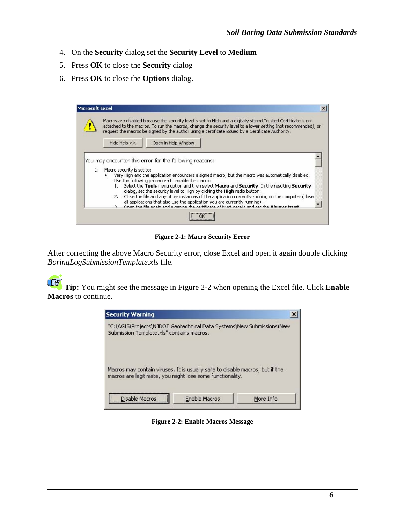- 4. On the **Security** dialog set the **Security Level** to **Medium**
- 5. Press **OK** to close the **Security** dialog
- 6. Press **OK** to close the **Options** dialog.



**Figure 2-1: Macro Security Error** 

After correcting the above Macro Security error, close Excel and open it again double clicking *BoringLogSubmissionTemplate.xls* file.

<u>ng </u>  **Tip:** You might see the message in Figure 2-2 when opening the Excel file. Click **Enable Macros** to continue.



**Figure 2-2: Enable Macros Message**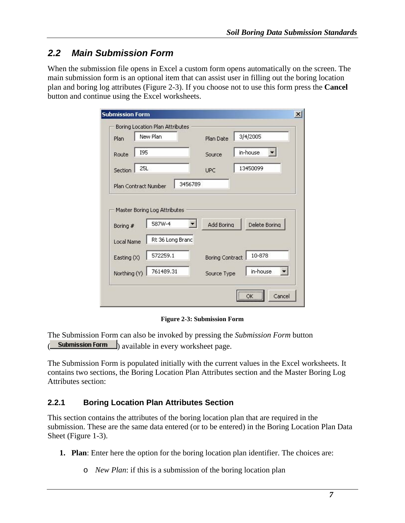### *2.2 Main Submission Form*

When the submission file opens in Excel a custom form opens automatically on the screen. The main submission form is an optional item that can assist user in filling out the boring location plan and boring log attributes (Figure 2-3). If you choose not to use this form press the **Cancel** button and continue using the Excel worksheets.

|                        | New Plan                     | Plan Date              | 3/4/2005      |
|------------------------|------------------------------|------------------------|---------------|
| <b>I95</b><br>Route    |                              | Source                 | in-house      |
| 25L<br>Section         |                              | UPC                    | 13450099      |
| Plan Contract Number   | 3456789                      |                        |               |
|                        | Master Boring Log Attributes |                        |               |
| Boring #<br>Local Name | 587W-4<br>Rt 36 Long Branc   | <b>Add Boring</b>      | Delete Boring |
| Easting (X)            | 572259.1                     | <b>Boring Contract</b> | 10-878        |

**Figure 2-3: Submission Form** 

The Submission Form can also be invoked by pressing the *Submission Form* button **Submission Form** available in every worksheet page.

The Submission Form is populated initially with the current values in the Excel worksheets. It contains two sections, the Boring Location Plan Attributes section and the Master Boring Log Attributes section:

#### **2.2.1 Boring Location Plan Attributes Section**

This section contains the attributes of the boring location plan that are required in the submission. These are the same data entered (or to be entered) in the Boring Location Plan Data Sheet (Figure 1-3).

- **1. Plan**: Enter here the option for the boring location plan identifier. The choices are:
	- o *New Plan*: if this is a submission of the boring location plan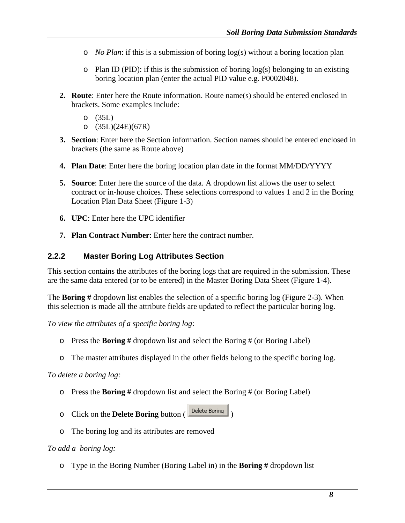- o *No Plan*: if this is a submission of boring log(s) without a boring location plan
- $\circ$  Plan ID (PID): if this is the submission of boring log(s) belonging to an existing boring location plan (enter the actual PID value e.g. P0002048).
- **2. Route**: Enter here the Route information. Route name(s) should be entered enclosed in brackets. Some examples include:
	- o (35L)
	- o (35L)(24E)(67R)
- **3. Section**: Enter here the Section information. Section names should be entered enclosed in brackets (the same as Route above)
- **4. Plan Date**: Enter here the boring location plan date in the format MM/DD/YYYY
- **5. Source**: Enter here the source of the data. A dropdown list allows the user to select contract or in-house choices. These selections correspond to values 1 and 2 in the Boring Location Plan Data Sheet (Figure 1-3)
- **6. UPC**: Enter here the UPC identifier
- **7. Plan Contract Number**: Enter here the contract number.

#### **2.2.2 Master Boring Log Attributes Section**

This section contains the attributes of the boring logs that are required in the submission. These are the same data entered (or to be entered) in the Master Boring Data Sheet (Figure 1-4).

The **Boring #** dropdown list enables the selection of a specific boring log (Figure 2-3). When this selection is made all the attribute fields are updated to reflect the particular boring log.

*To view the attributes of a specific boring log*:

- o Press the **Boring #** dropdown list and select the Boring # (or Boring Label)
- o The master attributes displayed in the other fields belong to the specific boring log.

#### *To delete a boring log:*

- o Press the **Boring #** dropdown list and select the Boring # (or Boring Label)
- o Click on the **Delete Boring** button ( )
- o The boring log and its attributes are removed

#### *To add a boring log:*

o Type in the Boring Number (Boring Label in) in the **Boring #** dropdown list